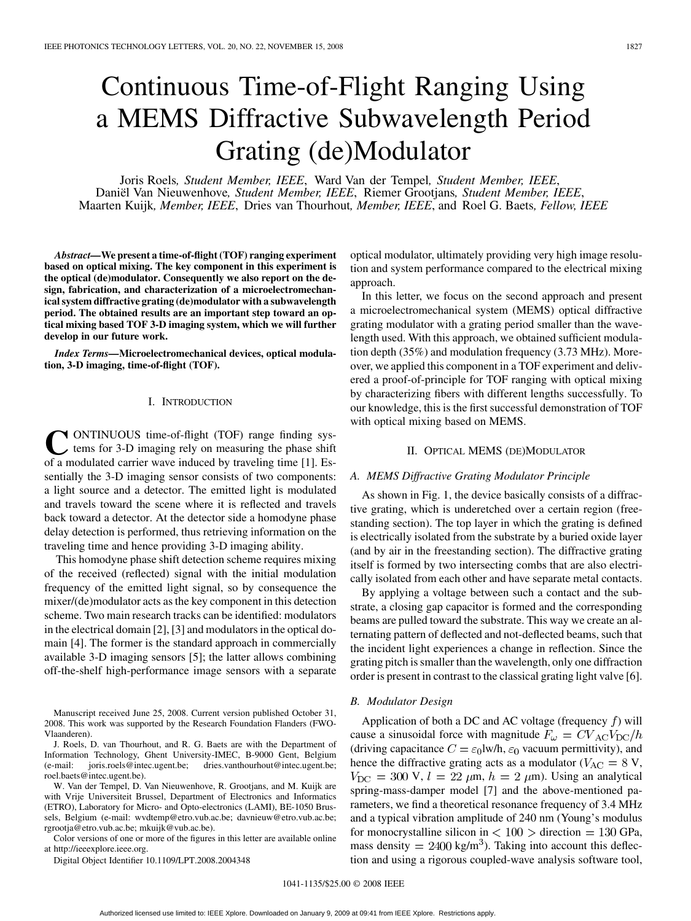# Continuous Time-of-Flight Ranging Using a MEMS Diffractive Subwavelength Period Grating (de)Modulator

Joris Roels*, Student Member, IEEE*, Ward Van der Tempel*, Student Member, IEEE*, Daniël Van Nieuwenhove*, Student Member, IEEE*, Riemer Grootjans*, Student Member, IEEE*, Maarten Kuijk*, Member, IEEE*, Dries van Thourhout*, Member, IEEE*, and Roel G. Baets*, Fellow, IEEE*

*Abstract—***We present a time-of-flight (TOF) ranging experiment based on optical mixing. The key component in this experiment is the optical (de)modulator. Consequently we also report on the design, fabrication, and characterization of a microelectromechanical system diffractive grating (de)modulator with a subwavelength period. The obtained results are an important step toward an optical mixing based TOF 3-D imaging system, which we will further develop in our future work.**

*Index Terms—***Microelectromechanical devices, optical modulation, 3-D imaging, time-of-flight (TOF).**

## I. INTRODUCTION

**C**ONTINUOUS time-of-flight (TOF) range finding systems for 3-D imaging rely on measuring the phase shift of a modulated carrier wave induced by traveling time [1]. Essentially the 3-D imaging sensor consists of two components: a light source and a detector. The emitted light is modulated and travels toward the scene where it is reflected and travels back toward a detector. At the detector side a homodyne phase delay detection is performed, thus retrieving information on the traveling time and hence providing 3-D imaging ability.

This homodyne phase shift detection scheme requires mixing of the received (reflected) signal with the initial modulation frequency of the emitted light signal, so by consequence the mixer/(de)modulator acts as the key component in this detection scheme. Two main research tracks can be identified: modulators in the electrical domain [2], [3] and modulators in the optical domain [4]. The former is the standard approach in commercially available 3-D imaging sensors [5]; the latter allows combining off-the-shelf high-performance image sensors with a separate

Manuscript received June 25, 2008. Current version published October 31, 2008. This work was supported by the Research Foundation Flanders (FWO-Vlaanderen).

J. Roels, D. van Thourhout, and R. G. Baets are with the Department of Information Technology, Ghent University-IMEC, B-9000 Gent, Belgium (e-mail: joris.roels@intec.ugent.be; dries.vanthourhout@intec.ugent.be; roel.baets@intec.ugent.be).

W. Van der Tempel, D. Van Nieuwenhove, R. Grootjans, and M. Kuijk are with Vrije Universiteit Brussel, Department of Electronics and Informatics (ETRO), Laboratory for Micro- and Opto-electronics (LAMI), BE-1050 Brussels, Belgium (e-mail: wvdtemp@etro.vub.ac.be; davnieuw@etro.vub.ac.be; rgrootja@etro.vub.ac.be; mkuijk@vub.ac.be).

Color versions of one or more of the figures in this letter are available online at http://ieeexplore.ieee.org.

Digital Object Identifier 10.1109/LPT.2008.2004348

optical modulator, ultimately providing very high image resolution and system performance compared to the electrical mixing approach.

In this letter, we focus on the second approach and present a microelectromechanical system (MEMS) optical diffractive grating modulator with a grating period smaller than the wavelength used. With this approach, we obtained sufficient modulation depth (35%) and modulation frequency (3.73 MHz). Moreover, we applied this component in a TOF experiment and delivered a proof-of-principle for TOF ranging with optical mixing by characterizing fibers with different lengths successfully. To our knowledge, this is the first successful demonstration of TOF with optical mixing based on MEMS.

## II. OPTICAL MEMS (DE)MODULATOR

# *A. MEMS Diffractive Grating Modulator Principle*

As shown in Fig. 1, the device basically consists of a diffractive grating, which is underetched over a certain region (freestanding section). The top layer in which the grating is defined is electrically isolated from the substrate by a buried oxide layer (and by air in the freestanding section). The diffractive grating itself is formed by two intersecting combs that are also electrically isolated from each other and have separate metal contacts.

By applying a voltage between such a contact and the substrate, a closing gap capacitor is formed and the corresponding beams are pulled toward the substrate. This way we create an alternating pattern of deflected and not-deflected beams, such that the incident light experiences a change in reflection. Since the grating pitch is smaller than the wavelength, only one diffraction order is present in contrast to the classical grating light valve [6].

## *B. Modulator Design*

Application of both a DC and AC voltage (frequency  $f$ ) will cause a sinusoidal force with magnitude  $F_{\omega} = CV_{AC}V_{DC}/h$ (driving capacitance  $C = \epsilon_0 I w/h$ ,  $\epsilon_0$  vacuum permittivity), and hence the diffractive grating acts as a modulator ( $V_{AC} = 8$  V,  $V_{\text{DC}} = 300 \text{ V}, l = 22 \mu \text{m}, h = 2 \mu \text{m}$ ). Using an analytical spring-mass-damper model [7] and the above-mentioned parameters, we find a theoretical resonance frequency of 3.4 MHz and a typical vibration amplitude of 240 nm (Young's modulus for monocrystalline silicon in  $\langle 100 \rangle$  direction = 130 GPa, mass density  $= 2400 \text{ kg/m}^3$ . Taking into account this deflection and using a rigorous coupled-wave analysis software tool,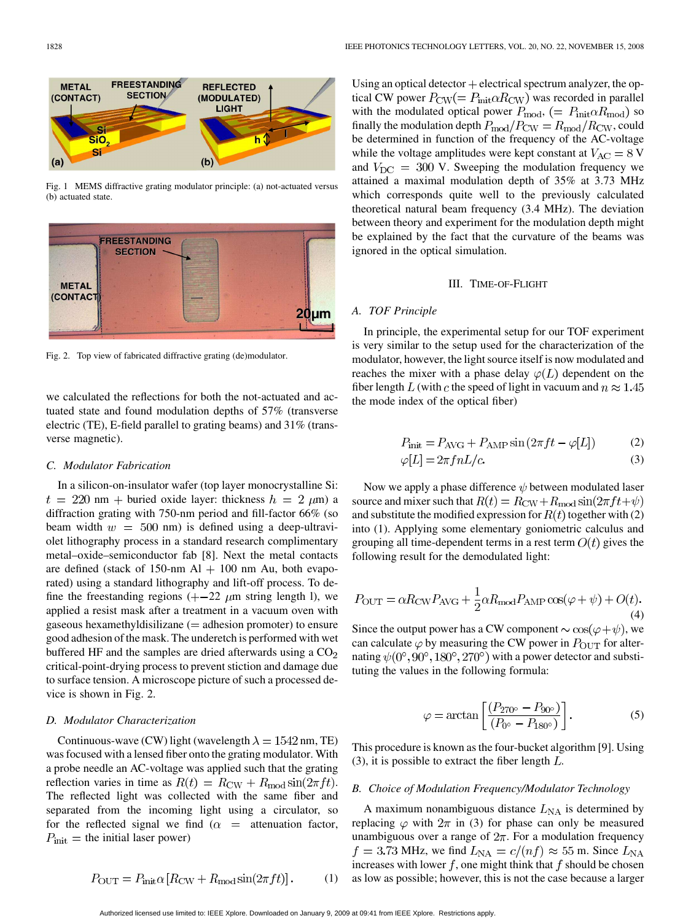

Fig. 1 MEMS diffractive grating modulator principle: (a) not-actuated versus (b) actuated state.



Fig. 2. Top view of fabricated diffractive grating (de)modulator.

we calculated the reflections for both the not-actuated and actuated state and found modulation depths of 57% (transverse electric (TE), E-field parallel to grating beams) and 31% (transverse magnetic).

#### *C. Modulator Fabrication*

In a silicon-on-insulator wafer (top layer monocrystalline Si:  $t = 220$  nm + buried oxide layer: thickness  $h = 2 \mu m$ ) a diffraction grating with 750-nm period and fill-factor 66% (so beam width  $w = 500$  nm) is defined using a deep-ultraviolet lithography process in a standard research complimentary metal–oxide–semiconductor fab [8]. Next the metal contacts are defined (stack of 150-nm Al  $+$  100 nm Au, both evaporated) using a standard lithography and lift-off process. To define the freestanding regions  $( + -22 \mu m)$  string length l), we applied a resist mask after a treatment in a vacuum oven with gaseous hexamethyldisilizane  $($  = adhesion promoter) to ensure good adhesion of the mask. The underetch is performed with wet buffered HF and the samples are dried afterwards using a  $CO<sub>2</sub>$ critical-point-drying process to prevent stiction and damage due to surface tension. A microscope picture of such a processed device is shown in Fig. 2.

## *D. Modulator Characterization*

Continuous-wave (CW) light (wavelength  $\lambda = 1542$  nm, TE) was focused with a lensed fiber onto the grating modulator. With a probe needle an AC-voltage was applied such that the grating reflection varies in time as  $R(t) = R_{\text{CW}} + R_{\text{mod}} \sin(2\pi f t)$ . The reflected light was collected with the same fiber and separated from the incoming light using a circulator, so for the reflected signal we find  $(\alpha =$  attenuation factor,  $P_{\text{init}} =$  the initial laser power)

$$
P_{\text{OUT}} = P_{\text{init}} \alpha \left[ R_{\text{CW}} + R_{\text{mod}} \sin(2\pi ft) \right]. \tag{1}
$$

Using an optical detector  $+$  electrical spectrum analyzer, the optical CW power  $P_{\text{CW}}(= P_{\text{init}} \alpha R_{\text{CW}})$  was recorded in parallel with the modulated optical power  $P_{\text{mod}}$ , (=  $P_{\text{init}} \alpha R_{\text{mod}}$ ) so finally the modulation depth  $P_{\text{mod}}/P_{\text{CW}} = R_{\text{mod}}/R_{\text{CW}}$ , could be determined in function of the frequency of the AC-voltage while the voltage amplitudes were kept constant at  $V_{AC} = 8$  V and  $V_{\text{DC}} = 300$  V. Sweeping the modulation frequency we attained a maximal modulation depth of 35% at 3.73 MHz which corresponds quite well to the previously calculated theoretical natural beam frequency (3.4 MHz). The deviation between theory and experiment for the modulation depth might be explained by the fact that the curvature of the beams was ignored in the optical simulation.

# III. TIME-OF-FLIGHT

## *A. TOF Principle*

In principle, the experimental setup for our TOF experiment is very similar to the setup used for the characterization of the modulator, however, the light source itself is now modulated and reaches the mixer with a phase delay  $\varphi(L)$  dependent on the fiber length L (with c the speed of light in vacuum and  $n \approx 1.45$ the mode index of the optical fiber)

$$
P_{\text{init}} = P_{\text{AVG}} + P_{\text{AMP}} \sin\left(2\pi f t - \varphi[L]\right) \tag{2}
$$

$$
\varphi[L] = 2\pi f n L/c. \tag{3}
$$

Now we apply a phase difference  $\psi$  between modulated laser source and mixer such that  $R(t) = R_{\text{CW}} + R_{\text{mod}} \sin(2\pi f t + \psi)$ and substitute the modified expression for  $R(t)$  together with (2) into (1). Applying some elementary goniometric calculus and grouping all time-dependent terms in a rest term  $O(t)$  gives the following result for the demodulated light:

$$
P_{\text{OUT}} = \alpha R_{\text{CW}} P_{\text{AVG}} + \frac{1}{2} \alpha R_{\text{mod}} P_{\text{AMP}} \cos(\varphi + \psi) + O(t). \tag{4}
$$

Since the output power has a CW component  $\sim \cos(\varphi + \psi)$ , we can calculate  $\varphi$  by measuring the CW power in  $P_{\text{OUT}}$  for alternating  $\psi(0^{\circ}, 90^{\circ}, 180^{\circ}, 270^{\circ})$  with a power detector and substituting the values in the following formula:

$$
\varphi = \arctan\left[\frac{(P_{270^\circ} - P_{90^\circ})}{(P_{0^\circ} - P_{180^\circ})}\right].\tag{5}
$$

This procedure is known as the four-bucket algorithm [9]. Using (3), it is possible to extract the fiber length  $L$ .

### *B. Choice of Modulation Frequency/Modulator Technology*

A maximum nonambiguous distance  $L_{NA}$  is determined by replacing  $\varphi$  with  $2\pi$  in (3) for phase can only be measured unambiguous over a range of  $2\pi$ . For a modulation frequency  $f = 3.73$  MHz, we find  $L_{\text{NA}} = c/(nf) \approx 55$  m. Since  $L_{\text{NA}}$ increases with lower  $f$ , one might think that  $f$  should be chosen as low as possible; however, this is not the case because a larger